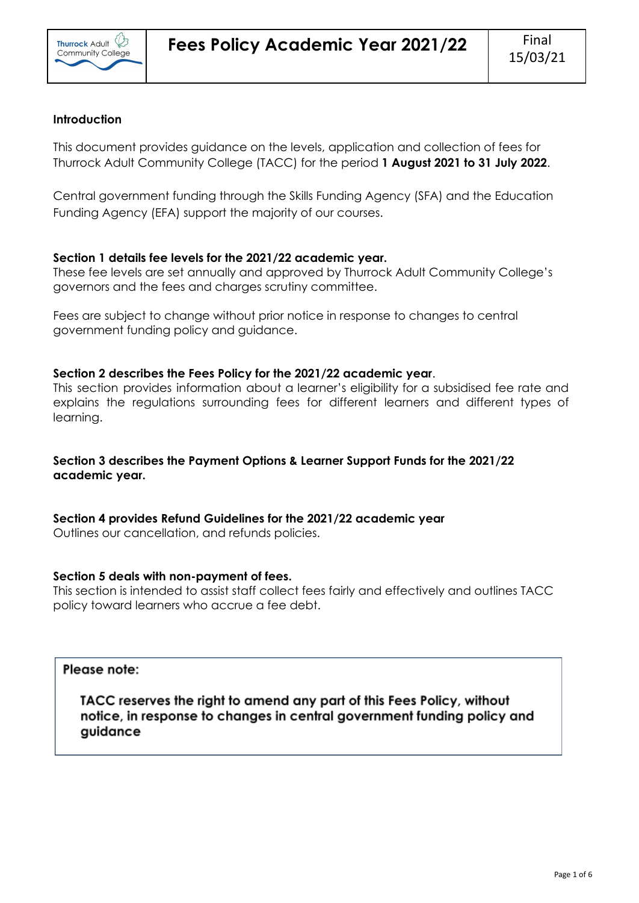

# **Introduction**

This document provides guidance on the levels, application and collection of fees for Thurrock Adult Community College (TACC) for the period **1 August 2021 to 31 July 2022**.

Central government funding through the Skills Funding Agency (SFA) and the Education Funding Agency (EFA) support the majority of our courses.

# **Section 1 details fee levels for the 2021/22 academic year.**

These fee levels are set annually and approved by Thurrock Adult Community College's governors and the fees and charges scrutiny committee.

Fees are subject to change without prior notice in response to changes to central government funding policy and guidance.

# **Section 2 describes the Fees Policy for the 2021/22 academic year**.

This section provides information about a learner's eligibility for a subsidised fee rate and explains the regulations surrounding fees for different learners and different types of learning.

# **Section 3 describes the Payment Options & Learner Support Funds for the 2021/22 academic year.**

**Section 4 provides Refund Guidelines for the 2021/22 academic year**

Outlines our cancellation, and refunds policies.

# **Section 5 deals with non-payment of fees.**

This section is intended to assist staff collect fees fairly and effectively and outlines TACC policy toward learners who accrue a fee debt.

# Please note:

TACC reserves the right to amend any part of this Fees Policy, without notice, in response to changes in central government funding policy and guidance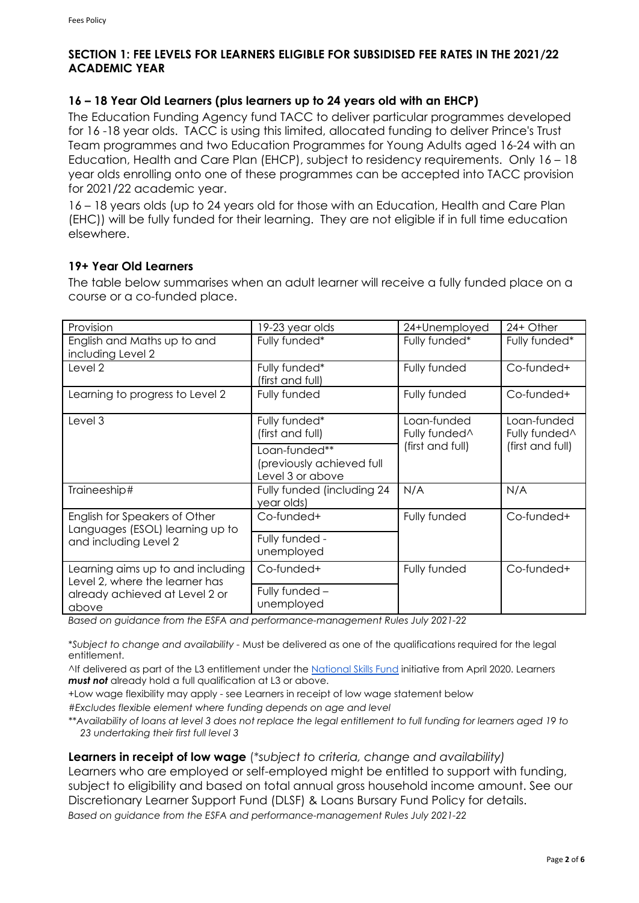# **SECTION 1: FEE LEVELS FOR LEARNERS ELIGIBLE FOR SUBSIDISED FEE RATES IN THE 2021/22 ACADEMIC YEAR**

# **16 – 18 Year Old Learners (plus learners up to 24 years old with an EHCP)**

The Education Funding Agency fund TACC to deliver particular programmes developed for 16 -18 year olds. TACC is using this limited, allocated funding to deliver Prince's Trust Team programmes and two Education Programmes for Young Adults aged 16-24 with an Education, Health and Care Plan (EHCP), subject to residency requirements. Only 16 – 18 year olds enrolling onto one of these programmes can be accepted into TACC provision for 2021/22 academic year.

16 – 18 years olds (up to 24 years old for those with an Education, Health and Care Plan (EHC)) will be fully funded for their learning. They are not eligible if in full time education elsewhere.

# **19+ Year Old Learners**

The table below summarises when an adult learner will receive a fully funded place on a course or a co-funded place.

| Provision                                                                                                      | 19-23 year olds                                                | 24+Unemployed                            | 24+ Other                                |
|----------------------------------------------------------------------------------------------------------------|----------------------------------------------------------------|------------------------------------------|------------------------------------------|
| English and Maths up to and<br>including Level 2                                                               | Fully funded*                                                  | Fully funded*                            | Fully funded*                            |
| Level 2                                                                                                        | Fully funded*<br>(first and full)                              | Fully funded                             | Co-funded+                               |
| Learning to progress to Level 2                                                                                | Fully funded                                                   | Fully funded                             | Co-funded+                               |
| Level 3                                                                                                        | Fully funded*<br>(first and full)                              | Loan-funded<br>Fully funded <sup>^</sup> | Loan-funded<br>Fully funded <sup>^</sup> |
|                                                                                                                | Loan-funded**<br>(previously achieved full<br>Level 3 or above | (first and full)                         | (first and full)                         |
| Traineeship#                                                                                                   | Fully funded (including 24<br>year olds)                       | N/A                                      | N/A                                      |
| English for Speakers of Other<br>Languages (ESOL) learning up to<br>and including Level 2                      | Co-funded+                                                     | Fully funded                             | Co-funded+                               |
|                                                                                                                | Fully funded -<br>unemployed                                   |                                          |                                          |
| Learning aims up to and including<br>Level 2, where the learner has<br>already achieved at Level 2 or<br>above | Co-funded+                                                     | Fully funded                             | Co-funded+                               |
|                                                                                                                | Fully funded -<br>unemployed                                   |                                          |                                          |

*Based on guidance from the ESFA and performance-management Rules July 2021-22*

\**Subject to change and availability -* Must be delivered as one of the qualifications required for the legal entitlement.

^If delivered as part of the L3 entitlement under the [National Skills Fund](http://www.gov.uk/guidance/national-skills-fund) initiative from April 2020. Learners *must not* already hold a full qualification at L3 or above.

+Low wage flexibility may apply - see Learners in receipt of low wage statement below

*#Excludes flexible element where funding depends on age and level*

*\*\*Availability of loans at level 3 does not replace the legal entitlement to full funding for learners aged 19 to 23 undertaking their first full level 3*

**Learners in receipt of low wage** (\**subject to criteria, change and availability)* Learners who are employed or self-employed might be entitled to support with funding, subject to eligibility and based on total annual gross household income amount. See our Discretionary Learner Support Fund (DLSF) & Loans Bursary Fund Policy for details. *Based on guidance from the ESFA and performance-management Rules July 2021-22*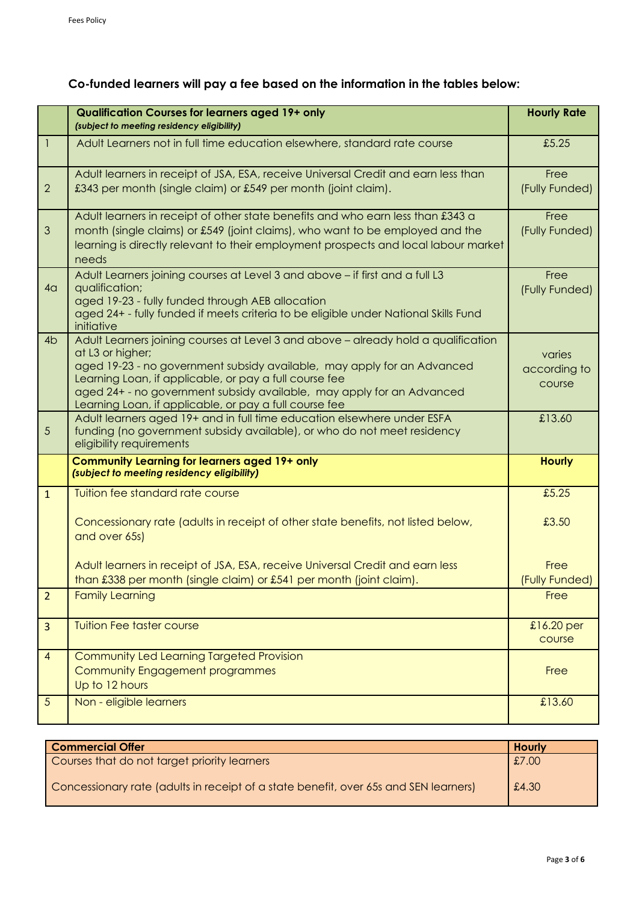# **Co-funded learners will pay a fee based on the information in the tables below:**

|                | <b>Qualification Courses for learners aged 19+ only</b><br>(subject to meeting residency eligibility)                                                                                                                                                                                                                                                                          |                                  |
|----------------|--------------------------------------------------------------------------------------------------------------------------------------------------------------------------------------------------------------------------------------------------------------------------------------------------------------------------------------------------------------------------------|----------------------------------|
| -1             | Adult Learners not in full time education elsewhere, standard rate course                                                                                                                                                                                                                                                                                                      | £5.25                            |
| $\overline{2}$ | Adult learners in receipt of JSA, ESA, receive Universal Credit and earn less than<br>£343 per month (single claim) or £549 per month (joint claim).                                                                                                                                                                                                                           | Free<br>(Fully Funded)           |
| 3              | Adult learners in receipt of other state benefits and who earn less than £343 a<br>month (single claims) or £549 (joint claims), who want to be employed and the<br>learning is directly relevant to their employment prospects and local labour market<br>needs                                                                                                               | Free<br>(Fully Funded)           |
| 4 <sub>q</sub> | Adult Learners joining courses at Level 3 and above - if first and a full L3<br>qualification;<br>aged 19-23 - fully funded through AEB allocation<br>aged 24+ - fully funded if meets criteria to be eligible under National Skills Fund<br>initiative                                                                                                                        | Free<br>(Fully Funded)           |
| 4 <sub>b</sub> | Adult Learners joining courses at Level 3 and above - already hold a qualification<br>at L3 or higher;<br>aged 19-23 - no government subsidy available, may apply for an Advanced<br>Learning Loan, if applicable, or pay a full course fee<br>aged 24+ - no government subsidy available, may apply for an Advanced<br>Learning Loan, if applicable, or pay a full course fee | varies<br>according to<br>course |
| 5              | Adult learners aged 19+ and in full time education elsewhere under ESFA<br>funding (no government subsidy available), or who do not meet residency<br>eligibility requirements                                                                                                                                                                                                 | £13.60                           |
|                | <b>Community Learning for learners aged 19+ only</b><br>(subject to meeting residency eligibility)                                                                                                                                                                                                                                                                             | <b>Hourly</b>                    |
| $\mathbf{1}$   | Tuition fee standard rate course<br>Concessionary rate (adults in receipt of other state benefits, not listed below,<br>and over 65s)                                                                                                                                                                                                                                          | £5.25<br>£3.50                   |
|                | Adult learners in receipt of JSA, ESA, receive Universal Credit and earn less<br>than £338 per month (single claim) or £541 per month (joint claim).                                                                                                                                                                                                                           | Free<br>(Fully Funded)           |
| $\overline{2}$ | <b>Family Learning</b>                                                                                                                                                                                                                                                                                                                                                         | Free                             |
| $\overline{3}$ | <b>Tuition Fee taster course</b>                                                                                                                                                                                                                                                                                                                                               | £16.20 per<br>course             |
| $\overline{4}$ | Community Led Learning Targeted Provision<br>Community Engagement programmes<br>Up to 12 hours                                                                                                                                                                                                                                                                                 | Free                             |
| $\overline{5}$ | Non - eligible learners                                                                                                                                                                                                                                                                                                                                                        | £13.60                           |

| <b>Commercial Offer</b>                                                              | <b>Hourly</b> |
|--------------------------------------------------------------------------------------|---------------|
| Courses that do not target priority learners                                         | £7.00         |
| Concessionary rate (adults in receipt of a state benefit, over 65s and SEN learners) | £4.30         |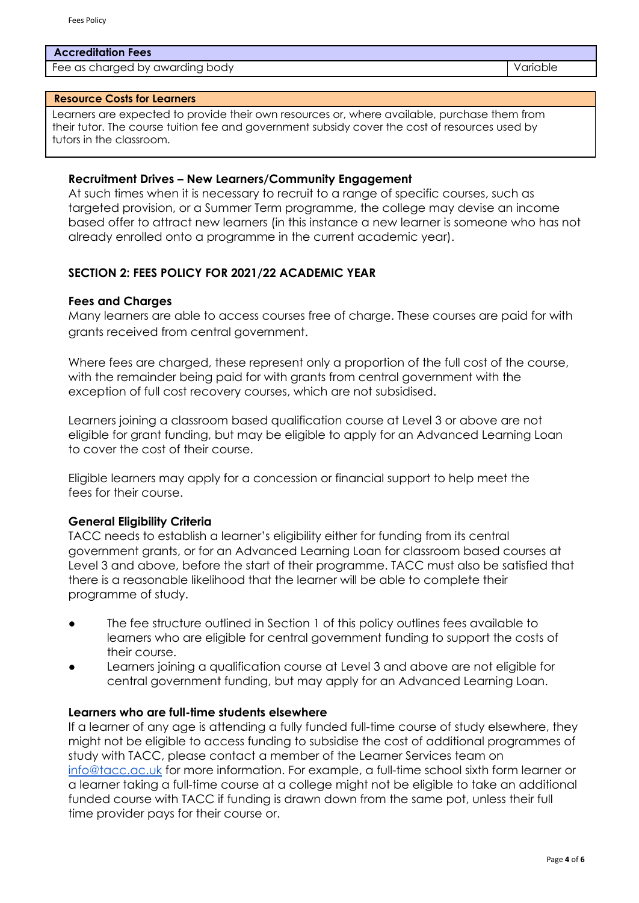#### **Accreditation Fees**

Fee as charged by awarding body variable variable variable variable variable variable

#### **Resource Costs for Learners**

Learners are expected to provide their own resources or, where available, purchase them from their tutor. The course tuition fee and government subsidy cover the cost of resources used by tutors in the classroom.

#### **Recruitment Drives – New Learners/Community Engagement**

At such times when it is necessary to recruit to a range of specific courses, such as targeted provision, or a Summer Term programme, the college may devise an income based offer to attract new learners (in this instance a new learner is someone who has not already enrolled onto a programme in the current academic year).

#### **SECTION 2: FEES POLICY FOR 2021/22 ACADEMIC YEAR**

#### **Fees and Charges**

Many learners are able to access courses free of charge. These courses are paid for with grants received from central government.

Where fees are charged, these represent only a proportion of the full cost of the course, with the remainder being paid for with grants from central government with the exception of full cost recovery courses, which are not subsidised.

Learners joining a classroom based qualification course at Level 3 or above are not eligible for grant funding, but may be eligible to apply for an Advanced Learning Loan to cover the cost of their course.

Eligible learners may apply for a concession or financial support to help meet the fees for their course.

#### **General Eligibility Criteria**

TACC needs to establish a learner's eligibility either for funding from its central government grants, or for an Advanced Learning Loan for classroom based courses at Level 3 and above, before the start of their programme. TACC must also be satisfied that there is a reasonable likelihood that the learner will be able to complete their programme of study.

- The fee structure outlined in Section 1 of this policy outlines fees available to learners who are eligible for central government funding to support the costs of their course.
- Learners joining a qualification course at Level 3 and above are not eligible for central government funding, but may apply for an Advanced Learning Loan.

#### **Learners who are full-time students elsewhere**

If a learner of any age is attending a fully funded full-time course of study elsewhere, they might not be eligible to access funding to subsidise the cost of additional programmes of study with TACC, please contact a member of the Learner Services team on [info@tacc.ac.uk](mailto:info@tacc.ac.uk) for more information. For example, a full-time school sixth form learner or a learner taking a full-time course at a college might not be eligible to take an additional funded course with TACC if funding is drawn down from the same pot, unless their full time provider pays for their course or.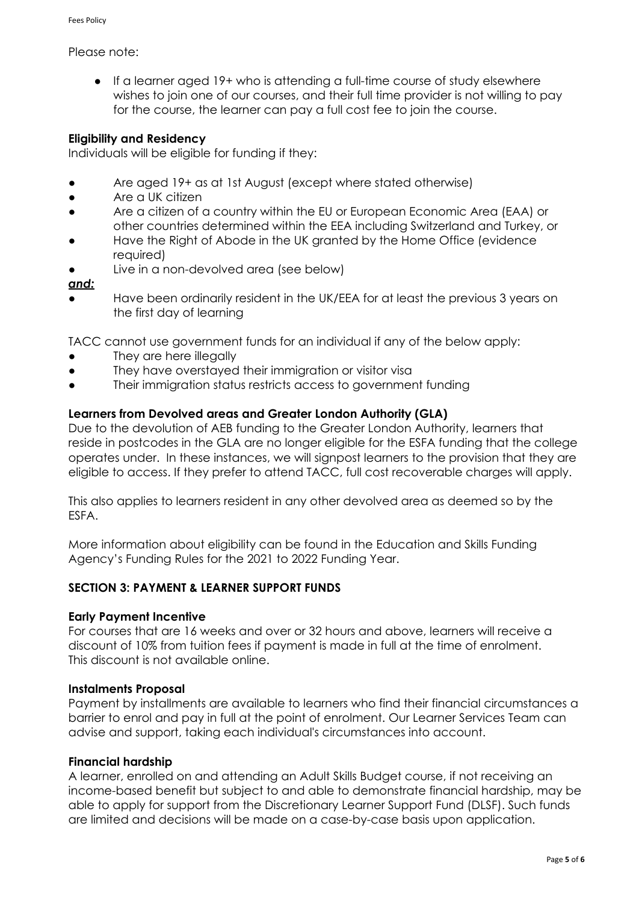### Please note:

● If a learner aged 19+ who is attending a full-time course of study elsewhere wishes to join one of our courses, and their full time provider is not willing to pay for the course, the learner can pay a full cost fee to join the course.

# **Eligibility and Residency**

Individuals will be eligible for funding if they:

- Are aged 19+ as at 1st August (except where stated otherwise)
- Are a UK citizen
- Are a citizen of a country within the EU or European Economic Area (EAA) or other countries determined within the EEA including Switzerland and Turkey, or
- Have the Right of Abode in the UK granted by the Home Office (evidence required)
- Live in a non-devolved area (see below)

### *and:*

Have been ordinarily resident in the UK/EEA for at least the previous 3 years on the first day of learning

TACC cannot use government funds for an individual if any of the below apply:

- They are here illegally
- They have overstayed their immigration or visitor visa
- Their immigration status restricts access to government funding

# **Learners from Devolved areas and Greater London Authority (GLA)**

Due to the devolution of AEB funding to the Greater London Authority, learners that reside in postcodes in the GLA are no longer eligible for the ESFA funding that the college operates under. In these instances, we will signpost learners to the provision that they are eligible to access. If they prefer to attend TACC, full cost recoverable charges will apply.

This also applies to learners resident in any other devolved area as deemed so by the ESFA.

More information about eligibility can be found in the Education and Skills Funding Agency's Funding Rules for the 2021 to 2022 Funding Year.

### **SECTION 3: PAYMENT & LEARNER SUPPORT FUNDS**

### **Early Payment Incentive**

For courses that are 16 weeks and over or 32 hours and above, learners will receive a discount of 10% from tuition fees if payment is made in full at the time of enrolment. This discount is not available online.

### **Instalments Proposal**

Payment by installments are available to learners who find their financial circumstances a barrier to enrol and pay in full at the point of enrolment. Our Learner Services Team can advise and support, taking each individual's circumstances into account.

### **Financial hardship**

A learner, enrolled on and attending an Adult Skills Budget course, if not receiving an income-based benefit but subject to and able to demonstrate financial hardship, may be able to apply for support from the Discretionary Learner Support Fund (DLSF). Such funds are limited and decisions will be made on a case-by-case basis upon application.